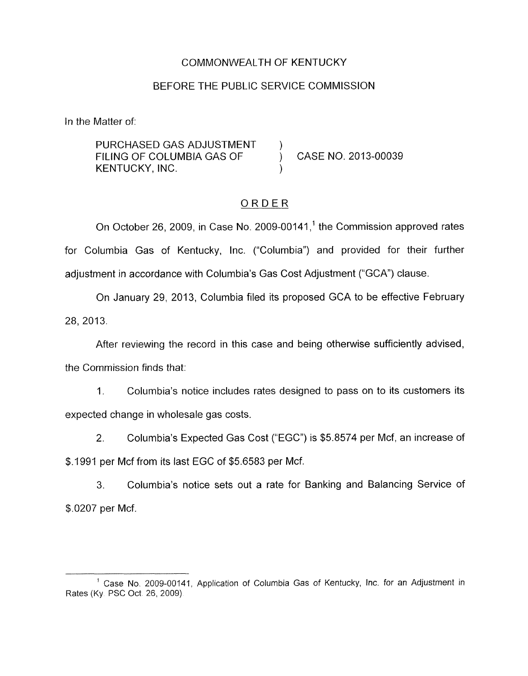#### COMMONWEALTH OF KENTUCKY

### BEFORE THE PUBLIC SERVICE COMMISSION

In the Matter of:

PURCHASED GAS ADJUSTMENT FILING OF COLUMBIA GAS OF  $\overrightarrow{)}$  CASE NO. 2013-00039 KENTUCKY, INC.

# ORDER

On October 26, 2009, in Case No. 2009-00141, $<sup>1</sup>$  the Commission approved rates</sup> for Columbia Gas of Kentucky, Inc. ("Columbia") and provided for their further adjustment in accordance with Columbia's Gas Cost Adjustment ("GCA") clause.

On January 29, 2013, Columbia filed its proposed GCA to be effective February 28, 2013.

After reviewing the record in this case and being otherwise sufficiently advised, the Commission finds that:

1. Columbia's notice includes rates designed to pass on to its customers its expected change in wholesale gas costs.

2. Columbia's Expected Gas Cost ("EGC") is \$5.8574 per Mcf, an increase of \$.I991 per Mcf from its last EGC of \$5.6583 per Mcf.

3. \$.0207 per Mcf. Columbia's notice sets out a rate for Banking and Balancing Service of

<sup>&</sup>lt;sup>1</sup> Case No. 2009-00141, Application of Columbia Gas of Kentucky, Inc. for an Adjustment in Rates (Ky PSC Oct 26, 2009)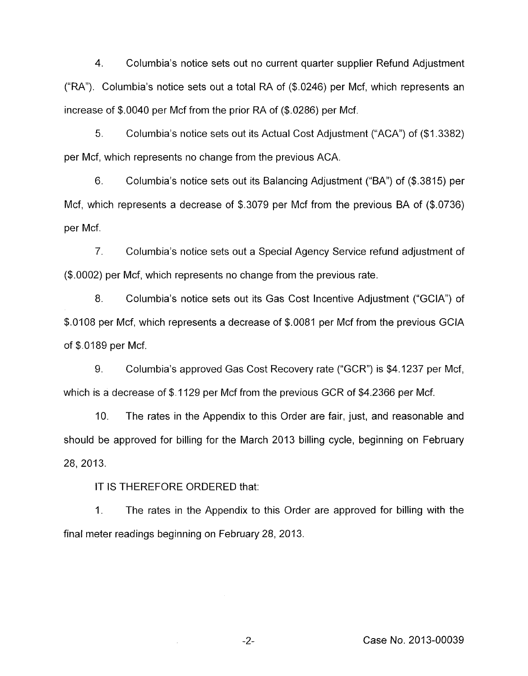4. Columbia's notice sets out no current quarter supplier Refund Adjustment ("RA"). Columbia's notice sets out a total RA of (\$.0246) per Mcf, which represents an increase of \$.0040 per Mcf from the prior RA of (\$.0286) per Mcf.

5. Columbia's notice sets out its Actual Cost Adjustment ("ACA") of (\$1.3382) per Mcf, which represents no change from the previous ACA.

6. Columbia's notice sets out its Balancing Adjustment ("BA'') of (\$.3815) per Mcf, which represents a decrease of \$.3079 per Mcf from the previous BA of (\$.0736) per Mcf.

7. Columbia's notice sets out a Special Agency Service refund adjustment of (\$.0002) per Mcf, which represents no change from the previous rate.

8. Columbia's notice sets out its Gas Cost Incentive Adjustment ("GCIA") of \$.0108 per Mcf, which represents a decrease of \$.0081 per Mcf from the previous GClA of \$.0189 per Mcf.

9. Columbia's approved Gas Cost Recovery rate ("GCR") is \$4.1237 per Mcf, which is a decrease of \$.1129 per Mcf from the previous GCR of \$4.2366 per Mcf.

IO. The rates in the Appendix to this Order are fair, just, and reasonable and should be approved for billing for the March 2013 billing cycle, beginning on February 28, 2013.

IT IS THEREFORE ORDERED that:

 $\sim$ 

1. The rates in the Appendix to this Order are approved for billing with the final meter readings beginning on February 28, 2013.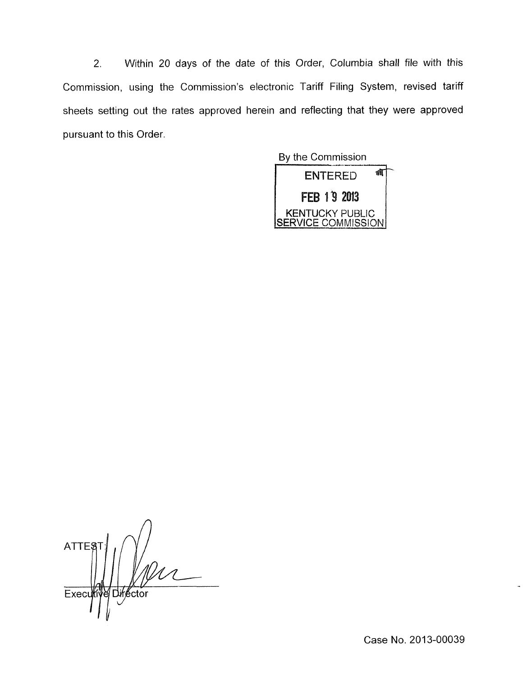*2.* Within 20 days of the date of this Order, Columbia shall file with this Commission, using the Commission's electronic Tariff Filing System, revised tariff sheets setting out the rates approved herein and reflecting that they were approved pursuant to this Order.



*A*  **ATTEST** e Director Execu

Case No. 2013-00039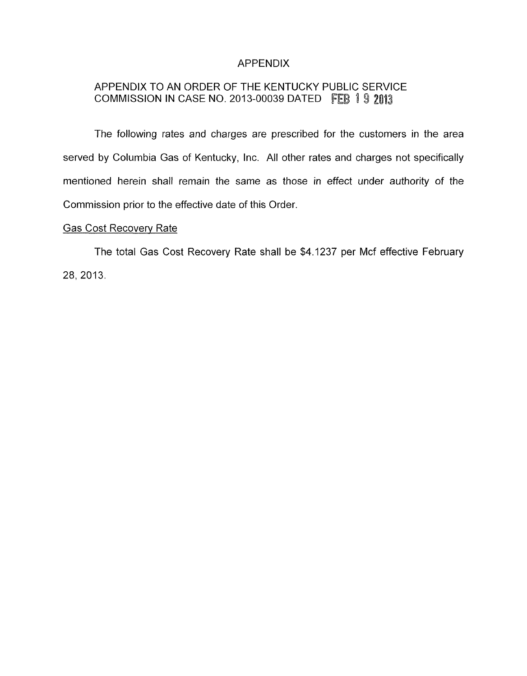### APPENDIX

## APPENDIX TO AN ORDER OF THE KENTUCKY PUBLIC SERVICE COMMISSION IN CASE NO. 2013-00039 DATED F

The following rates and charges are prescribed for the customers in the area served by Columbia Gas of Kentucky, Inc. All other rates and charges not specifically mentioned herein shall remain the same as those in effect under authority of the Commission prior to the effective date of this Order.

#### Gas Cost Recoverv Rate

The total Gas Cost Recovery Rate shall be \$4.1237 per Mcf effective February 28. 2013.